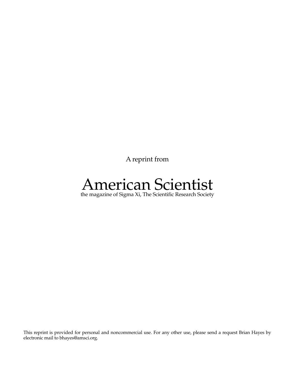A reprint from

# American Scientist

the magazine of Sigma Xi, The Scientific Research Society

This reprint is provided for personal and noncommercial use. For any other use, please send a request Brian Hayes by electronic mail to bhayes@amsci.org.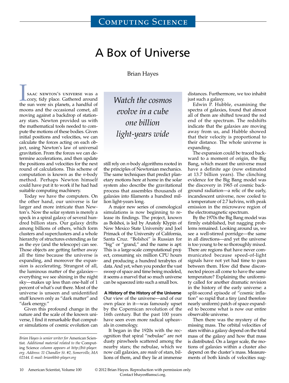# A Box of Universe

Brian Hayes

SAAC NEWTON'S UNIVERSE WAS A cozy, tidy place. Gathered around the sun were six planets, a handful of moons and the occasional comet, all moving against a backdrop of stationary stars. Newton provided us with the mathematical tools needed to compute the motions of these bodies. Given initial positions and velocities, we can calculate the forces acting on each object, using Newton's law of universal gravitation. From the forces we can determine accelerations, and then update the positions and velocities for the next round of calculations. This scheme of computation is known as the *n*-body method. Perhaps Newton himself could have put it to work if he had had suitable computing machinery.

Today we have the computers. On the other hand, our universe is far larger and more intricate than Newton's. Now the solar system is merely a speck in a spiral galaxy of several hundred billion stars. Our galaxy drifts among billions of others, which form clusters and superclusters and a whole hierarchy of structures extending as far as the eye (and the telescope) can see. Those objects are getting farther away all the time because the universe is expanding, and moreover the expansion is accelerating. Strangest of all, the luminous matter of the galaxies everything we see shining in the night sky—makes up less than one-half of 1 percent of what's out there. Most of the universe is unseen and unidentified stuff known only as "dark matter" and "dark energy."

Given this profound change in the nature and the scale of the known universe, I find it remarkable that computer simulations of cosmic evolution can

*Watch the cosmos evolve in a cube one billion light-years wide*

still rely on *n*-body algorithms rooted in the principles of Newtonian mechanics. The same techniques that predict planetary motions here at home in the solar system also describe the gravitational process that assembles thousands of galaxies into filaments a hundred million light-years long.

A major new series of cosmological simulations is now beginning to release its findings. The project, known as Bolshoi, is led by Anatoly Klypin of New Mexico State University and Joel Primack of the University of California, Santa Cruz. "Bolshoi" is Russian for "big" or "grand," and the name is apt: This is a large-scale computational project, consuming six million CPU hours and producing a hundred terabytes of data. And yet, when you ponder the vast sweep of space and time being modeled, it seems a marvel that so much universe can be squeezed into such a small box.

#### **A History of the History of the Universe**

Our view of the universe—and of our own place in it—was famously upset by the Copernican revolution of the 16th century. But the past 100 years have seen even more radical upheavals in cosmology.

It began in the 1920s with the recognition that spiral "nebulae" are not dusty pinwheels scattered among the nearby stars; the nebulae, which we now call galaxies, are *made* of stars, billions of them, and they lie at immense

distances. Furthermore, we too inhabit just such a galaxy.

Edwin P. Hubble, examining the spectra of galaxies, found that almost all of them are shifted toward the red end of the spectrum. The redshifts indicate that the galaxies are moving away from us, and Hubble showed that their velocity is proportional to their distance. The whole universe is expanding.

The expansion could be traced backward to a moment of origin, the Big Bang, which meant the universe must have a definite age (now estimated at 13.7 billion years). The clinching evidence for the Big Bang model was the discovery in 1965 of cosmic background radiation—a relic of the early, incandescent universe, now cooled to a temperature of 2.7 kelvins, with peak emission in the microwave region of the electromagnetic spectrum.

By the 1970s the Big Bang model was firmly established, but nagging problems remained. Looking around us, we see a well-stirred porridge—the same in all directions—and yet the universe is too young to be so thoroughly mixed. There are regions that have never communicated because speed-of-light signals have not yet had time to pass between them. How did these disconnected pieces all come to have the same temperature? Explaining the uniformity called for another dramatic revision in the history of the early universe: a split-second episode of "cosmic inflation" so rapid that a tiny (and therefore nearly uniform) patch of space expanded to become what is now our entire observable universe.

Then there was the mystery of the missing mass. The orbital velocities of stars within a galaxy depend on the total mass of the galaxy and how that mass is distributed. On a larger scale, the motions of galaxies within a cluster also depend on the cluster's mass. Measurements of both kinds of velocities sug-

© 2012 Brian Hayes. Reproduction with permission only. Contact bhayes@amsci.org.

*Brian Hayes is senior writer for* American Scientist*. Additional material related to the* Computing Science *column appears at http://bit-player. org. Address: 11 Chandler St. #2, Somerville, MA 02144. E-mail: brian@bit-player.org*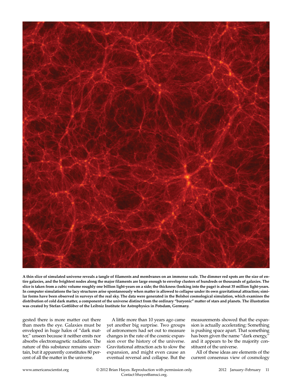

**A thin slice of simulated universe reveals a tangle of filaments and membranes on an immense scale. The dimmer red spots are the size of entire galaxies, and the brightest nodes along the major filaments are large enough to envelop clusters of hundreds or thousands of galaxies. The slice is taken from a cubic volume roughly one billion light-years on a side; the thickness (looking into the page) is about 35 million light-years. In computer simulations the lacy structures arise spontaneously when matter is allowed to collapse under its own gravitational attraction; similar forms have been observed in surveys of the real sky. The data were generated in the Bolshoi cosmological simulation, which examines the distribution of cold dark matter, a component of the universe distinct from the ordinary "baryonic" matter of stars and planets. The illustration was created by Stefan Gottlöber of the Leibniz Institute for Astrophysics in Potsdam, Germany.**

gested there is more matter out there than meets the eye. Galaxies must be enveloped in huge halos of "dark matter," unseen because it neither emits nor absorbs electromagnetic radiation. The nature of this substance remains uncertain, but it apparently constitutes 80 percent of all the matter in the universe.

A little more than 10 years ago came yet another big surprise. Two groups of astronomers had set out to measure changes in the rate of the cosmic expansion over the history of the universe. Gravitational attraction acts to slow the expansion, and might even cause an eventual reversal and collapse. But the measurements showed that the expansion is actually accelerating: Something is pushing space apart. That something has been given the name "dark energy," and it appears to be the majority constituent of the universe.

All of these ideas are elements of the current consensus view of cosmology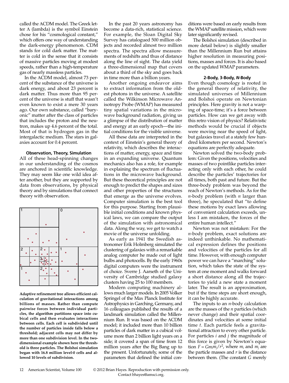called the ΛCDM model. The Greek letter  $\Lambda$  (lambda) is the symbol Einstein chose for his "cosmological constant," which offers one way of understanding the dark-energy phenomenon. CDM stands for cold dark matter. The matter is cold in the sense that it consists of massive particles moving at modest speeds, rather than a high-temperature gas of nearly massless particles.

In the ΛCDM model, almost 73 percent of the substance of the universe is dark energy, and about 23 percent is dark matter. Thus more than 95 percent of the universe is stuff that wasn't even known to exist a mere 30 years ago. Our own substance, called "baryonic" matter after the class of particles that includes the proton and the neutron, makes up 4.6 percent of the total. Most of that is hydrogen gas in the intergalactic medium. The stars in galaxies account for 0.4 percent.

## **Observation, Theory, Simulation**

All of these head-spinning changes in our understanding of the cosmos are anchored in scientific knowledge. They may seem like one wild idea after another, but they are supported by data from observations, by physical theory and by simulations that connect theory with observation.



**Adaptive refinement tree allows efficient calculation of gravitational interactions among billions of masses. Rather than compute pairwise forces between individual particles, the algorithm partitions space into cubical cells and then evaluates interactions between cells. Each cell is subdivided until the number of particles inside falls below a threshold; adjacent cells may not differ by more than one subdivision level. In the twodimensional example shown here the threshold is three particles. The Bolshoi simulation began with 16.8 million level-0 cells and allowed 10 levels of subdivision.**

In the past 20 years astronomy has become a data-rich, statistical science. For example, the Sloan Digital Sky Survey has catalogued 500 million objects and recorded almost two million spectra. The spectra allow measurements of redshifts and thus of distance along the line of sight. The data yield a three-dimensional map that covers about a third of the sky and goes back in time more than a billion years.

Another ongoing endeavor aims to extract information from the oldest photons in the universe. A satellite called the Wilkinson Microwave Anisotropy Probe (WMAP) has measured tiny spatial variations in the microwave background radiation, giving us a glimpse of the distribution of matter and energy at an early epoch—the initial conditions for the visible universe.

All these data are interpreted in the context of Einstein's general theory of relativity, which describes the interactions of matter, energy, space and time in an expanding universe. Quantum mechanics also has a role, for example in explaining the spectrum of fluctuations in the microwave background. But these theoretical principles are not enough to predict the shapes and sizes and other properties of the structures that emerge as the universe evolves. Computer simulation is the best tool for this purpose. Starting from plausible initial conditions and known physical laws, we can compare the output of the simulation with astronomical data. Along the way, we get to watch a movie of the universe unfolding.

As early as 1941 the Swedish astronomer Erik Holmberg simulated the clustering of galaxies with a remarkable analog computer he made out of light bulbs and photocells. By the early 1960s digital computers were the instrument of choice. Sverre J. Aarseth of the University of Cambridge studied galaxy clusters having 25 to 100 members.

Modern computing machinery allows much larger models. In 2005 Volker Springel of the Max Planck Institute for Astrophysics in Garching, Germany, and 16 colleagues published the results of a landmark simulation called the Millennium Run. It was based on the ΛCDM model; it included more than 10 billion particles of dark matter in a cubical volume more than 2 billion light years on a side; it covered a span of time from 12 million years after the Big Bang up to the present. Unfortunately, some of the parameters that defined the initial conditions were based on early results from the WMAP satellite mission, which were later significantly revised.

The Bolshoi simulation (described in more detail below) is slightly smaller than the Millennium Run but attains higher resolution in measuring positions, masses and forces. It is also based on the updated WMAP parameters.

#### **2-Body, 3-Body,** *N***-Body**

Even though cosmology is rooted in the general theory of relativity, the simulated universes of Millennium and Bolshoi operate on Newtonian principles. Here gravity is not a warping of space-time; it's a force between particles. How can we get away with this retro vision of physics? Relativistic methods would be crucial if objects were moving near the speed of light, but galaxies travel at a stately few hundred kilometers per second. Newton's equations are perfectly adequate.

Newton solved the two-body problem: Given the positions, velocities and masses of two pointlike particles interacting only with each other, he could describe the particles' trajectories for all times, both past and future. But the three-body problem was beyond the reach of Newton's methods. As for the *n*-body problem (with *n* larger than three), he speculated that "to define these motions by exact laws allowing of convenient calculation exceeds, unless I am mistaken, the forces of the entire human intellect."

Newton was not mistaken: For the *n*-body problem, exact solutions are indeed unthinkable. No mathematical expression defines the positions and velocities of the particles for all time. However, with enough computer power we can have a "marching" solution, which takes the state of the system at one moment and walks forward a short distance along all the trajectories to yield a new state a moment later. The result is an approximation, but if the time steps are short enough, it can be highly accurate.

The inputs to an *n*-body calculation are the masses of the *n* particles (which never change) and their spatial coordinates and velocities at some initial time *t*. Each particle feels a gravitational attraction to every other particle. For particles *i* and *j* the magnitude of this force is given by Newton's equation  $F = Gm_i m_j / r^2$ , where  $m_i$  and  $m_j$  are the particle masses and *r* is the distance between them. (The constant *G* merely

12 American Scientist, Volume 100 © 2012 Brian Hayes. Reproduction with permission only. Contact bhayes@amsci.org.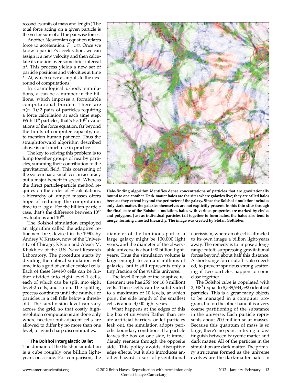reconciles units of mass and length.) The total force acting on a given particle is the vector sum of all the pairwise forces.

Another Newtonian equation relates force to acceleration: *F* = *ma*. Once we know a particle's acceleration, we can assign it a new velocity and then calculate its motion over some brief interval Δ*t*. This process yields a new set of particle positions and velocities at time  $t + \Delta t$ , which serve as inputs to the next round of computations.

In cosmological *n*-body simulations, *n* can be a number in the billions, which imposes a formidable computational burden. There are  $n(n-1)/2$  pairs of particles requiring a force calculation at each time step. With  $10^9$  particles, that's  $5 \times 10^{17}$  evaluations of the force equation, far beyond the limits of computer capacity, not to mention human patience. Thus the straightforward algorithm described above is not much use in practice.

The key to solving this problem is to lump together groups of nearby particles, summing their contribution to the gravitational field. This coarsening of the system has a small cost in accuracy but a major benefit in speed. Whereas the direct particle-particle method requires on the order of  $n^2$  calculations, a hierarchy of lumped masses offers hope of reducing the computation time to *n* log *n*. For the billion-particle case, that's the difference between  $10^{17}$ evaluations and 1010.

The Bolshoi simulation employed an algorithm called the adaptive refinement tree, devised in the 1990s by Andrey V. Kratsov, now of the University of Chicago, Klypin and Alexei M. Khokhlov of the U.S. Naval Research Laboratory. The procedure starts by dividing the cubical simulation volume into a grid of smaller cubical cells. Each of these level-0 cells can be further divided into eight level-1 cells, each of which can be split into eight level-2 cells, and so on. The splitting process continues until the number of particles in a cell falls below a threshold. The subdivision level can vary across the grid, so that costly highresolution computations are done only where needed; but adjacent cells are allowed to differ by no more than one level, to avoid sharp discontinuities.

## **The Bolshoi Intergalactic Ballet**

The domain of the Bolshoi simulation is a cube roughly one billion lightyears on a side. For comparison, the



**Halo-finding algorithm identifies dense concentrations of particles that are gravitationally bound to one another. Dark-matter halos are the sites where galaxies live; they are called halos because they extend beyond the perimeter of the galaxy. Since the Bolshoi simulation includes only dark matter, the galaxies themselves are not explicitly present. In this thin slice through the final state of the Bolshoi simulation, halos with various properties are marked by circles and polygons. Just as individual particles fall together to form halos, the halos also tend to merge, forming a nested hierarchy. The image was created by Stefan Gottlöber.**

diameter of the luminous part of a large galaxy might be 100,000 light years, and the diameter of the observable universe is about 90 billion lightyears. Thus the simulation volume is large enough to contain millions of galaxies, but it still represents only a tiny fraction of the visible universe.

The level-0 mesh of the adaptive refinement tree has  $256<sup>3</sup>$  (or 16.8 million) cells. These cells can be subdivided to a maximum of 10 levels, at which point the side length of the smallest cells is about 4,000 light years.

What happens at the edges of this big box of universe? Rather than create artificial barriers or let particles leak out, the simulation adopts periodic boundary conditions. If a particle leaves the box on one side, it immediately reenters through the opposite side. This policy avoids disruptive edge effects, but it also introduces another hazard: a sort of gravitational narcissism, where an object is attracted to its own image a billion light-years away. The remedy is to impose a longrange cutoff, suppressing gravitational forces beyond about half this distance. A short-range force cutoff is also needed, to prevent spurious strong scattering if two particles happen to come close together.

The Bolshoi cube is populated with 2,0483 (equal to 8,589,934,592) identical particles. This is a great many objects to be managed in a computer program, but on the other hand it is a very coarse partitioning of the substance in the universe. Each particle represents about 200 million solar masses. Because this quantum of mass is so large, there's no point in trying to distinguish between baryonic matter and dark matter. All of the particles in the simulation are dark matter. The primary structures formed as the universe evolves are the dark-matter halos in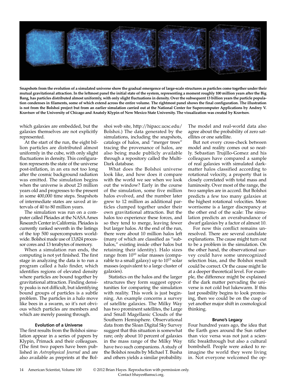

**Snapshots from the evolution of a simulated universe show the gradual emergence of large-scale structures as particles come together under their mutual gravitational attraction. In the leftmost panel the initial state of the system, representing a moment roughly 100 million years after the Big Bang, has particles distributed almost uniformly, with only slight fluctuations in density. Over the subsequent 13 billion years the particle population condenses in filaments, some of which extend across the entire volume. The rightmost panel shows the final configuration. The illustration is not from the Bolshoi project but from an earlier simulation carried out at the National Center for Supercomputer Applications by Andrey V. Kravtsov of the University of Chicago and Anatoly Klypin of New Mexico State University. The visualization was created by Kravtsov.**

which galaxies are embedded, but the galaxies themselves are not explicitly represented.

At the start of the run, the eight billion particles are distributed almost uniformly in the cube, with only slight fluctuations in density. This configuration represents the state of the universe post-inflation, in an era not too long after the cosmic background radiation was emitted. The simulation begins when the universe is about 23 million years old and progresses to the present in some 400,000 time steps. Snapshots of intermediate states are saved at intervals of 40 to 80 million years.

The simulation was run on a computer called Pleiades at the NASA Ames Research Center in California. Pleiades is currently ranked seventh in the listings of the top 500 supercomputers worldwide. Bolshoi made use of 13,824 processor cores and 13 terabytes of memory.

When a simulation run ends, the computing is not yet finished. The first stage in analyzing the data is to run a program called a halo finder, which identifies regions of elevated density where particles are bound together by gravitational attraction. Finding density peaks is not difficult, but identifying bound groups of particles is a subtle problem. The particles in a halo move like bees in a swarm, so it's not obvious which particles are members and which are merely passing through.

#### **Evolution of a Universe**

The first results from the Bolshoi simulation appear in a series of papers by Klypin, Primack and their colleagues. (The first two papers have been published in *Astrophysical Journal* and are also available as preprints at the Bol-

shoi web site, http://hipacc.ucsc.edu/ Bolshoi.) The data generated by the simulations, including the snapshots, catalogs of halos, and "merger trees" tracing the provenance of halos, are also being made publicly available through a repository called the Multi-Dark database.

What does the Bolshoi universe look like, and how does it compare with the world we see when we look out the window? Early in the course of the simulation, some five million halos evolved, and the number later grew to 12 million as additional particles clumped together under their own gravitational attraction. But the halos too experience these forces, and so they tend to merge, leaving fewer but larger halos. At the end of the run, there were about 10 million halos left (many of which are classified as "subhalos," existing inside other halos but retaining their identity). Halo sizes range from  $10^{10}$  solar masses (comparable to a small galaxy) up to  $10^{15}$  solar masses (equivalent to a large cluster of galaxies).

Statistics on the halos and the larger structures they form suggest opportunities for comparing the simulation with reality. This work is just beginning. An example concerns a survey of satellite galaxies. The Milky Way has two prominent satellites, the Large and Small Magellanic Clouds of the Southern Hemisphere. Observational data from the Sloan Digital Sky Survey suggest that this situation is somewhat rare; only about 10 percent of galaxies in the mass range of the Milky Way have two such companions. A study of the Bolshoi results by Michael T. Busha and others yields a similar probability. The model and real-world data also agree about the probability of zero satellites or one satellite.

But not every cross-check between model and reality comes out so neatly. Sebastian Trujillo-Gomez and his colleagues have compared a sample of real galaxies with simulated darkmatter halos classified according to rotational velocity, a property that is closely correlated with total mass and luminosity. Over most of the range, the two samples are in accord. But Bolshoi predicts a few too many galaxies at the highest rotational velocities. More worrisome is a larger discrepancy at the other end of the scale: The simulation predicts an overabundance of dwarf galaxies by a factor of almost 10.

For now this conflict remains unresolved. There are several candidate explanations. The cause might turn out to be a problem in the simulation. On the other hand, the observational survey could have some unrecognized selection bias, and the Bolshoi result could be correct. Or the cause might lie at a deeper theoretical level. For example, the difference might be explained if the dark matter pervading the universe is not cold but lukewarm. If this last possibility begins to look promising, then we could be on the cusp of yet another major shift in cosmological thinking.

#### **Bruno's Legacy**

Four hundred years ago, the idea that the Earth goes around the Sun rather than vice versa was not just a scientific breakthrough but also a cultural bombshell. People were asked to reimagine the world they were living in. Not everyone welcomed the op-

14 American Scientist, Volume 100 © 2012 Brian Hayes. Reproduction with permission only. Contact bhayes@amsci.org.